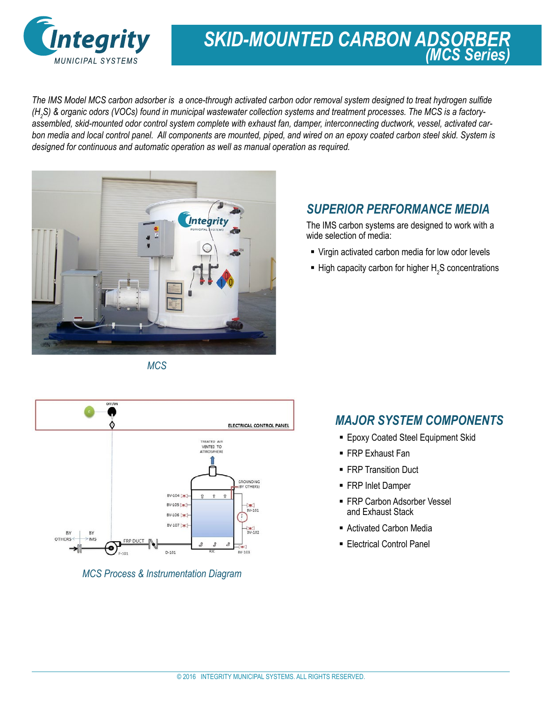

# *SKID-MOUNTED CARBON ADSORBER (MCS Series)*

*The IMS Model MCS carbon adsorber is a once-through activated carbon odor removal system designed to treat hydrogen sulfide (H2 S) & organic odors (VOCs) found in municipal wastewater collection systems and treatment processes. The MCS is a factoryassembled, skid-mounted odor control system complete with exhaust fan, damper, interconnecting ductwork, vessel, activated carbon media and local control panel. All components are mounted, piped, and wired on an epoxy coated carbon steel skid. System is designed for continuous and automatic operation as well as manual operation as required.* 



#### *SUPERIOR PERFORMANCE MEDIA*

The IMS carbon systems are designed to work with a wide selection of media:

- Virgin activated carbon media for low odor levels
- $\blacksquare$  High capacity carbon for higher  $H_2S$  concentrations





*MCS Process & Instrumentation Diagram*

#### *MAJOR SYSTEM COMPONENTS*

- **Epoxy Coated Steel Equipment Skid**
- FRP Exhaust Fan
- **FRP Transition Duct**
- **FRP Inlet Damper**
- FRP Carbon Adsorber Vessel and Exhaust Stack
- Activated Carbon Media
- **Electrical Control Panel**